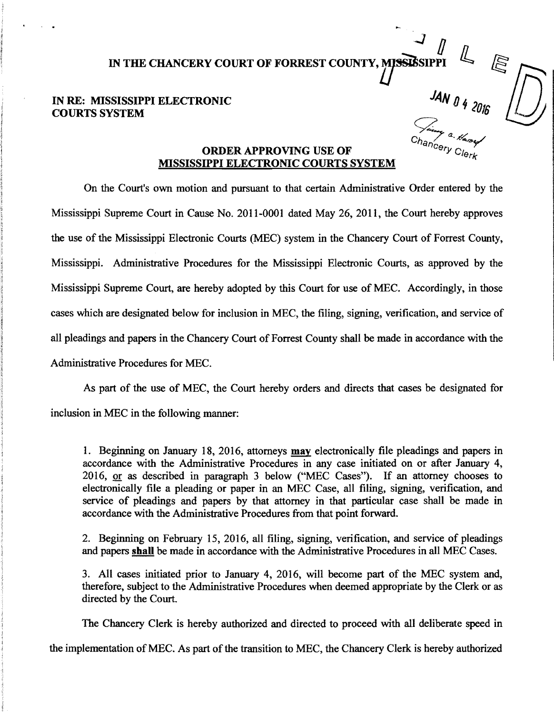<sup>~</sup>*D*  IN THE CHANCERY COURT OF FORREST COUNTY, MISSISSIPPI

## IN RE: MISSISSIPPI ELECTRONIC COURTS SYSTEM

 $\begin{equation*} \begin{aligned} \mathcal{L}_{\mathit{in}} \end{aligned} \end{equation*}$ 

## Chancery Clerk **-<sup>a</sup>-***V*<sub>ancery</sub> Clerk **-**MISSISSIPPI ELECTRONIC COURTS SYSTEM

On the Court's own motion and pursuant to that certain Administrative Order entered by the Mississippi Supreme Court in Cause No. 2011-0001 dated May 26, 2011, the Court hereby approves the use of the Mississippi Electronic Courts (MEC) system in the Chancery Court of Forrest County, Mississippi. Administrative Procedures for the Mississippi Electronic Courts, as approved by the Mississippi Supreme Court, are hereby adopted by this Court for use of MEC. Accordingly, in those cases which are designated below for inclusion in MEC, the filing, signing, verification, and service of all pleadings and papers in the Chancery Court of Forrest County shall be made in accordance with the Administrative Procedures for MEC.

As part of the use of MEC, the Court hereby orders and directs that cases be designated for inclusion in MEC in the following manner:

l. Beginning on January 18, 2016, attorneys may electronically file pleadings and papers in accordance with the Administrative Procedures in any case initiated on or after January 4, 2016, or as described in paragraph 3 below ("MEC Cases"). If an attorney chooses to electronically file a pleading or paper in an MEC Case, all filing, signing, verification, and service of pleadings and papers by that attorney in that particular case shall be made in accordance with the Administrative Procedures from that point forward.

2. Beginning on February 15, 2016, all filing, signing, verification, and service of pleadings and papers shall be made in accordance with the Administrative Procedures in all MEC Cases.

3. All cases initiated prior to January 4, 2016, will become part of the MEC system and, therefore, subject to the Administrative Procedures when deemed appropriate by the Clerk or as directed by the Court.

The Chancery Clerk is hereby authorized and directed to proceed with all deliberate speed in

the implementation of MEC. As part of the transition to MEC, the Chancery Clerk is hereby authorized